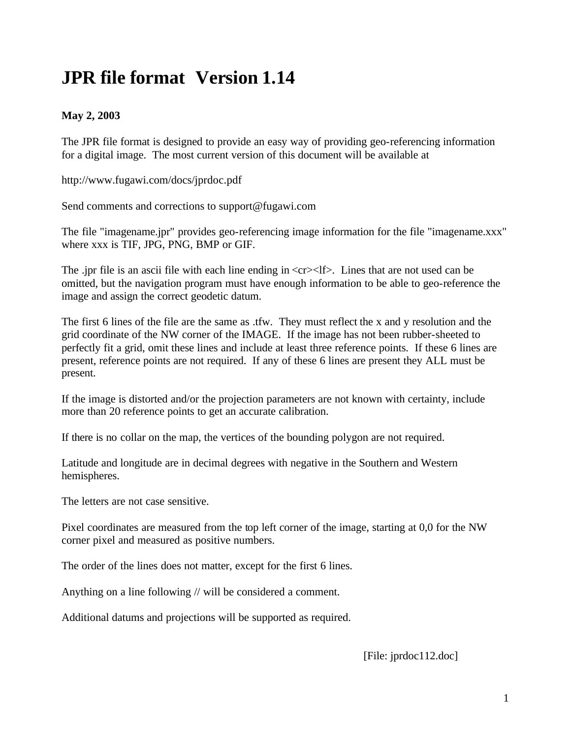## **JPR file format Version 1.14**

## **May 2, 2003**

The JPR file format is designed to provide an easy way of providing geo-referencing information for a digital image. The most current version of this document will be available at

http://www.fugawi.com/docs/jprdoc.pdf

Send comments and corrections to support@fugawi.com

The file "imagename.jpr" provides geo-referencing image information for the file "imagename.xxx" where xxx is TIF, JPG, PNG, BMP or GIF.

The .jpr file is an ascii file with each line ending in  $\langle$ cr $\rangle$  -tif $\rangle$ . Lines that are not used can be omitted, but the navigation program must have enough information to be able to geo-reference the image and assign the correct geodetic datum.

The first 6 lines of the file are the same as .tfw. They must reflect the x and y resolution and the grid coordinate of the NW corner of the IMAGE. If the image has not been rubber-sheeted to perfectly fit a grid, omit these lines and include at least three reference points. If these 6 lines are present, reference points are not required. If any of these 6 lines are present they ALL must be present.

If the image is distorted and/or the projection parameters are not known with certainty, include more than 20 reference points to get an accurate calibration.

If there is no collar on the map, the vertices of the bounding polygon are not required.

Latitude and longitude are in decimal degrees with negative in the Southern and Western hemispheres.

The letters are not case sensitive.

Pixel coordinates are measured from the top left corner of the image, starting at 0,0 for the NW corner pixel and measured as positive numbers.

The order of the lines does not matter, except for the first 6 lines.

Anything on a line following // will be considered a comment.

Additional datums and projections will be supported as required.

[File: jprdoc112.doc]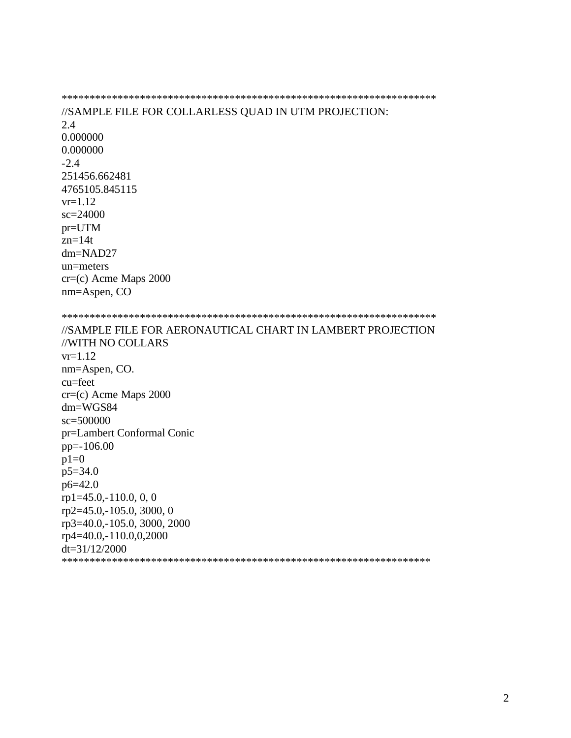\*\*\*\*\*\*\*\*\*\*\*\*\*\*\*\*\*\*\*\*\*\*\*\*\*\*\*\*\*\*\*\*\*\*\*\*\*\*\*\*\*\*\*\*\*\*\*\*\*\*\*\*\*\*\*\*\*\*\*\*\*\*\*\*\*\*\* //SAMPLE FILE FOR COLLARLESS QUAD IN UTM PROJECTION: 2.4 0.000000 0.000000 -2.4 251456.662481 4765105.845115  $vr=1.12$ sc=24000 pr=UTM zn=14t dm=NAD27 un=meters cr=(c) Acme Maps 2000 nm=Aspen, CO \*\*\*\*\*\*\*\*\*\*\*\*\*\*\*\*\*\*\*\*\*\*\*\*\*\*\*\*\*\*\*\*\*\*\*\*\*\*\*\*\*\*\*\*\*\*\*\*\*\*\*\*\*\*\*\*\*\*\*\*\*\*\*\*\*\*\* //SAMPLE FILE FOR AERONAUTICAL CHART IN LAMBERT PROJECTION //WITH NO COLLARS  $vr=1.12$ nm=Aspen, CO. cu=feet cr=(c) Acme Maps 2000 dm=WGS84 sc=500000 pr=Lambert Conformal Conic pp=-106.00  $p1=0$ p5=34.0 p6=42.0 rp1=45.0,-110.0, 0, 0 rp2=45.0,-105.0, 3000, 0 rp3=40.0,-105.0, 3000, 2000 rp4=40.0,-110.0,0,2000 dt=31/12/2000 \*\*\*\*\*\*\*\*\*\*\*\*\*\*\*\*\*\*\*\*\*\*\*\*\*\*\*\*\*\*\*\*\*\*\*\*\*\*\*\*\*\*\*\*\*\*\*\*\*\*\*\*\*\*\*\*\*\*\*\*\*\*\*\*\*\*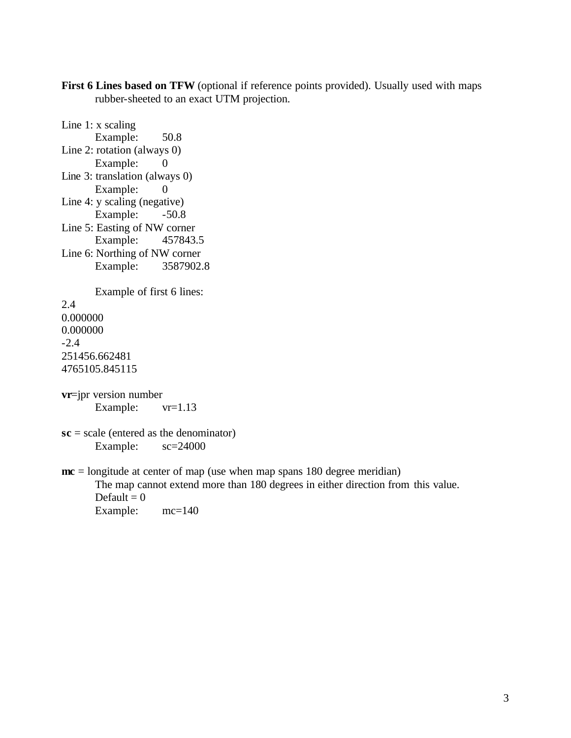First 6 Lines based on TFW (optional if reference points provided). Usually used with maps rubber-sheeted to an exact UTM projection.

```
Line 1: x scaling
      Example: 50.8
Line 2: rotation (always 0)
      Example: 0
Line 3: translation (always 0)
      Example: 0
Line 4: y scaling (negative)
      Example: -50.8Line 5: Easting of NW corner
      Example: 457843.5
Line 6: Northing of NW corner
      Example: 3587902.8
      Example of first 6 lines:
2.4
0.000000
0.000000
-2.4
251456.662481
4765105.845115
vr=jpr version number 
      Example: vr=1.13sc = scale (entered as the denominator)
      Example: sc=24000
mc = longitude at center of map (use when map spans 180 degree meridian)
      The map cannot extend more than 180 degrees in either direction from this value.
      Default = 0
```
Example:  $mc=140$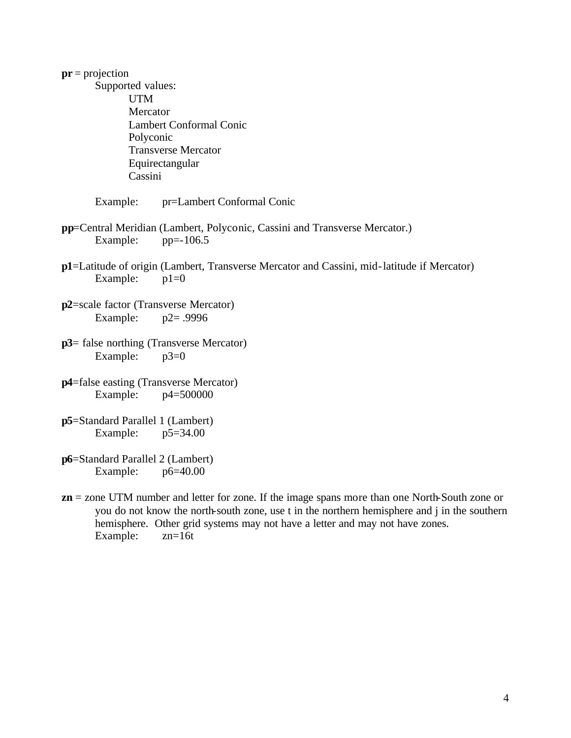| $pr = projection$<br>Supported values:<br><b>UTM</b><br>Mercator<br><b>Lambert Conformal Conic</b><br>Polyconic<br><b>Transverse Mercator</b><br>Equirectangular |                                                                                                      |
|------------------------------------------------------------------------------------------------------------------------------------------------------------------|------------------------------------------------------------------------------------------------------|
| Cassini<br>Example:                                                                                                                                              | pr=Lambert Conformal Conic                                                                           |
| Example:                                                                                                                                                         | pp=Central Meridian (Lambert, Polyconic, Cassini and Transverse Mercator.)<br>$pp=-106.5$            |
| Example:                                                                                                                                                         | p1=Latitude of origin (Lambert, Transverse Mercator and Cassini, mid-latitude if Mercator)<br>$p1=0$ |
| p2=scale factor (Transverse Mercator)<br>Example: $p2 = .9996$                                                                                                   |                                                                                                      |
| $p3$ = false northing (Transverse Mercator)<br>Example: $p3=0$                                                                                                   |                                                                                                      |
| <b>p4</b> =false easting (Transverse Mercator)<br>Example: $p4=500000$                                                                                           |                                                                                                      |
| p5=Standard Parallel 1 (Lambert)<br>Example: $p5=34.00$                                                                                                          |                                                                                                      |
| p6=Standard Parallel 2 (Lambert)<br>Example: $p6=40.00$                                                                                                          |                                                                                                      |
|                                                                                                                                                                  | $\mathbf{a}$ and $\mathbf{a}$ and $\mathbf{a}$ and $\mathbf{a}$                                      |

**zn** = zone UTM number and letter for zone. If the image spans more than one North-South zone or you do not know the north-south zone, use t in the northern hemisphere and j in the southern hemisphere. Other grid systems may not have a letter and may not have zones.<br>Example:  $zn=16t$ Example: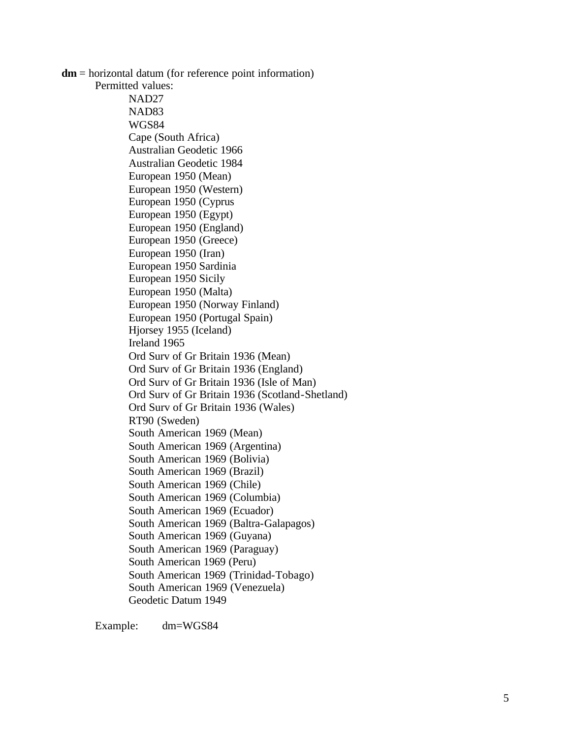**dm** = horizontal datum (for reference point information) Permitted values: NAD27 NAD83 WGS84 Cape (South Africa) Australian Geodetic 1966 Australian Geodetic 1984 European 1950 (Mean) European 1950 (Western) European 1950 (Cyprus European 1950 (Egypt) European 1950 (England) European 1950 (Greece) European 1950 (Iran) European 1950 Sardinia European 1950 Sicily European 1950 (Malta) European 1950 (Norway Finland) European 1950 (Portugal Spain) Hjorsey 1955 (Iceland) Ireland 1965 Ord Surv of Gr Britain 1936 (Mean) Ord Surv of Gr Britain 1936 (England) Ord Surv of Gr Britain 1936 (Isle of Man) Ord Surv of Gr Britain 1936 (Scotland -Shetland) Ord Surv of Gr Britain 1936 (Wales) RT90 (Sweden) South American 1969 (Mean) South American 1969 (Argentina) South American 1969 (Bolivia) South American 1969 (Brazil) South American 1969 (Chile) South American 1969 (Columbia) South American 1969 (Ecuador) South American 1969 (Baltra -Galapagos) South American 1969 (Guyana) South American 1969 (Paraguay) South American 1969 (Peru) South American 1969 (Trinidad -Tobago) South American 1969 (Venezuela) Geodetic Datum 1949

Example: dm=WGS84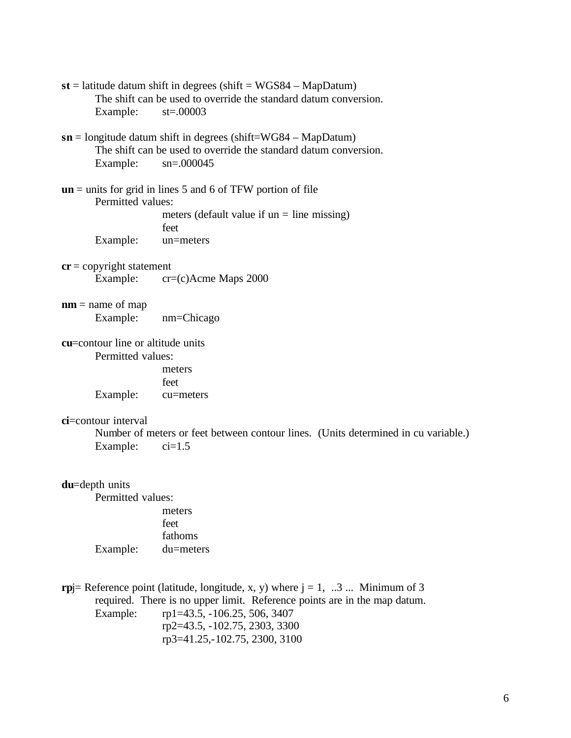- **st** = latitude datum shift in degrees (shift = WGS84 MapDatum) The shift can be used to override the standard datum conversion. Example: st=.00003
- **sn** = longitude datum shift in degrees (shift=WG84 MapDatum) The shift can be used to override the standard datum conversion. Example: sn=.000045
- **un** = units for grid in lines 5 and 6 of TFW portion of file Permitted values: meters (default value if  $un = line missing$ ) feet Example: un=meters
- **cr** = copyright statement Example: cr=(c)Acme Maps 2000
- **nm** = name of map Example: nm=Chicago
- **cu**=contour line or altitude units Permitted values: meters

feet Example: cu=meters

## **ci**=contour interval

Number of meters or feet between contour lines. (Units determined in cu variable.) Example:  $ci=1.5$ 

**du**=depth units

Permitted values: meters feet fathoms Example: du=meters

**rp** $=$  Reference point (latitude, longitude, x, y) where  $j = 1, ...3$  ... Minimum of 3 required. There is no upper limit. Reference points are in the map datum.

Example: rp1=43.5, -106.25, 506, 3407 rp2=43.5, -102.75, 2303, 3300 rp3=41.25,-102.75, 2300, 3100